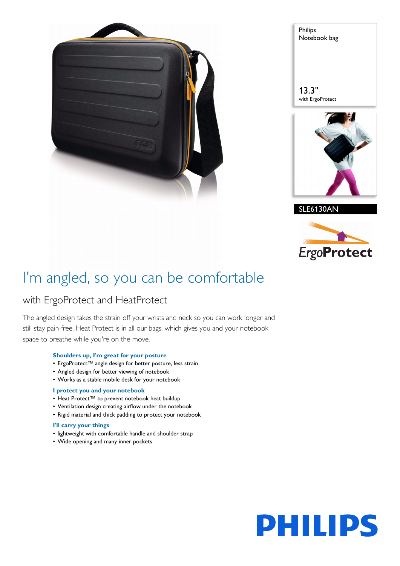

Philips Notebook bag

13.3" with ErgoProtect







# I'm angled, so you can be comfortable

# with ErgoProtect and HeatProtect

The angled design takes the strain off your wrists and neck so you can work longer and still stay pain-free. Heat Protect is in all our bags, which gives you and your notebook space to breathe while you're on the move.

# **Shoulders up, I'm great for your posture**

- ErgoProtect™ angle design for better posture, less strain
- Angled design for better viewing of notebook
- Works as a stable mobile desk for your notebook

### **I protect you and your notebook**

- Heat Protect™ to prevent notebook heat buildup
- Ventilation design creating airflow under the notebook
- Rigid material and thick padding to protect your notebook

#### **I'll carry your things**

- lightweight with comfortable handle and shoulder strap
- Wide opening and many inner pockets

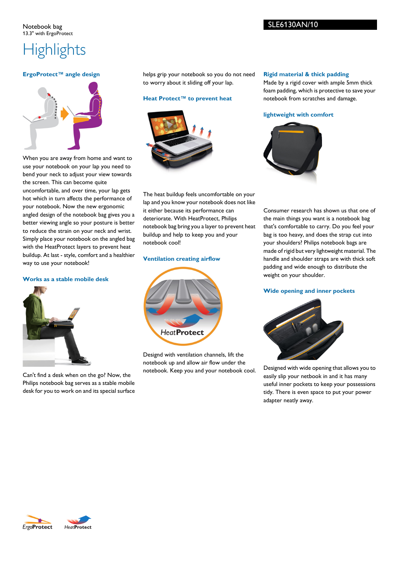#### Notebook bag 13.3" with ErgoProtect

# SLE6130AN/10

# **Highlights**

# **ErgoProtect™ angle design**



When you are away from home and want to use your notebook on your lap you need to bend your neck to adjust your view towards the screen. This can become quite uncomfortable, and over time, your lap gets hot which in turn affects the performance of your notebook. Now the new ergonomic angled design of the notebook bag gives you a better viewing angle so your posture is better to reduce the strain on your neck and wrist. Simply place your notebook on the angled bag with the HeatProtect layers to prevent heat buildup. At last - style, comfort and a healthier way to use your notebook!

# **Works as a stable mobile desk**



Can't find a desk when on the go? Now, the Philips notebook bag serves as a stable mobile desk for you to work on and its special surface helps grip your notebook so you do not need to worry about it sliding off your lap.

# **Heat Protect™ to prevent heat**



The heat buildup feels uncomfortable on your lap and you know your notebook does not like it either because its performance can deteriorate. With HeatProtect, Philips notebook bag bring you a layer to prevent heat buildup and help to keep you and your notebook cool!

### **Ventilation creating airflow**



Designd with ventilation channels, lift the notebook up and allow air flow under the notebook. Keep you and your notebook cool. **Rigid material & thick padding**

Made by a rigid cover with ample 5mm thick foam padding, which is protective to save your notebook from scratches and damage.



Consumer research has shown us that one of the main things you want is a notebook bag that's comfortable to carry. Do you feel your bag is too heavy, and does the strap cut into your shoulders? Philips notebook bags are made of rigid but very lightweight material. The handle and shoulder straps are with thick soft padding and wide enough to distribute the weight on your shoulder.

# **Wide opening and inner pockets**



Designed with wide opening that allows you to easily slip your netbook in and it has many useful inner pockets to keep your possessions tidy. There is even space to put your power adapter neatly away.